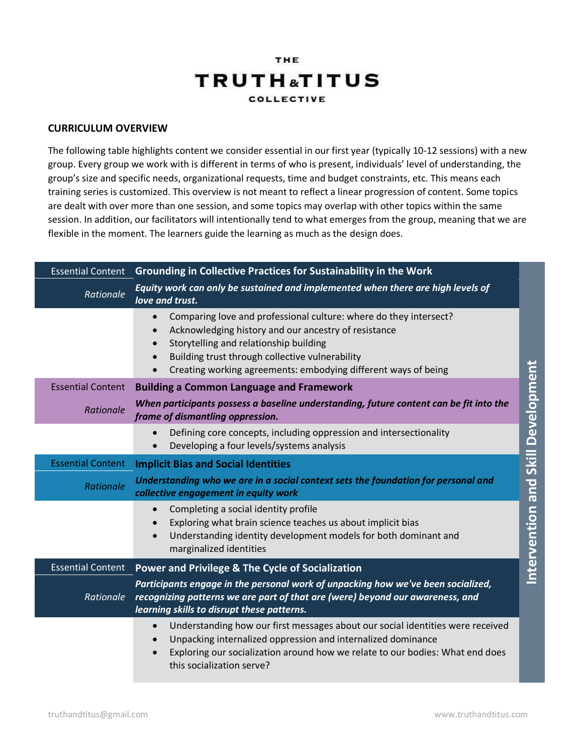## THE **TRUTH**<sub>a</sub>TITUS **COLLECTIVE**

## **CURRICULUM OVERVIEW**

The following table highlights content we consider essential in our first year (typically 10-12 sessions) with a new group. Every group we work with is different in terms of who is present, individuals' level of understanding, the group's size and specific needs, organizational requests, time and budget constraints, etc. This means each training series is customized. This overview is not meant to reflect a linear progression of content. Some topics are dealt with over more than one session, and some topics may overlap with other topics within the same session. In addition, our facilitators will intentionally tend to what emerges from the group, meaning that we are flexible in the moment. The learners guide the learning as much as the design does.

| <b>Essential Content</b> | Grounding in Collective Practices for Sustainability in the Work                                                                                                                                                                                                                                                   |                                    |
|--------------------------|--------------------------------------------------------------------------------------------------------------------------------------------------------------------------------------------------------------------------------------------------------------------------------------------------------------------|------------------------------------|
| Rationale                | Equity work can only be sustained and implemented when there are high levels of<br>love and trust.                                                                                                                                                                                                                 |                                    |
|                          | Comparing love and professional culture: where do they intersect?<br>$\bullet$<br>Acknowledging history and our ancestry of resistance<br>$\bullet$<br>Storytelling and relationship building<br>Building trust through collective vulnerability<br>Creating working agreements: embodying different ways of being |                                    |
| <b>Essential Content</b> | <b>Building a Common Language and Framework</b>                                                                                                                                                                                                                                                                    |                                    |
| Rationale                | When participants possess a baseline understanding, future content can be fit into the<br>frame of dismantling oppression.                                                                                                                                                                                         |                                    |
|                          | Defining core concepts, including oppression and intersectionality<br>Developing a four levels/systems analysis                                                                                                                                                                                                    |                                    |
| <b>Essential Content</b> | <b>Implicit Bias and Social Identities</b>                                                                                                                                                                                                                                                                         |                                    |
| Rationale                | Understanding who we are in a social context sets the foundation for personal and<br>collective engagement in equity work                                                                                                                                                                                          |                                    |
|                          | Completing a social identity profile<br>$\bullet$<br>Exploring what brain science teaches us about implicit bias<br>Understanding identity development models for both dominant and<br>$\bullet$<br>marginalized identities                                                                                        | Intervention and Skill Development |
| <b>Essential Content</b> | Power and Privilege & The Cycle of Socialization                                                                                                                                                                                                                                                                   |                                    |
| Rationale                | Participants engage in the personal work of unpacking how we've been socialized,<br>recognizing patterns we are part of that are (were) beyond our awareness, and<br>learning skills to disrupt these patterns.                                                                                                    |                                    |
|                          | Understanding how our first messages about our social identities were received<br>$\bullet$<br>Unpacking internalized oppression and internalized dominance<br>Exploring our socialization around how we relate to our bodies: What end does<br>$\bullet$<br>this socialization serve?                             |                                    |